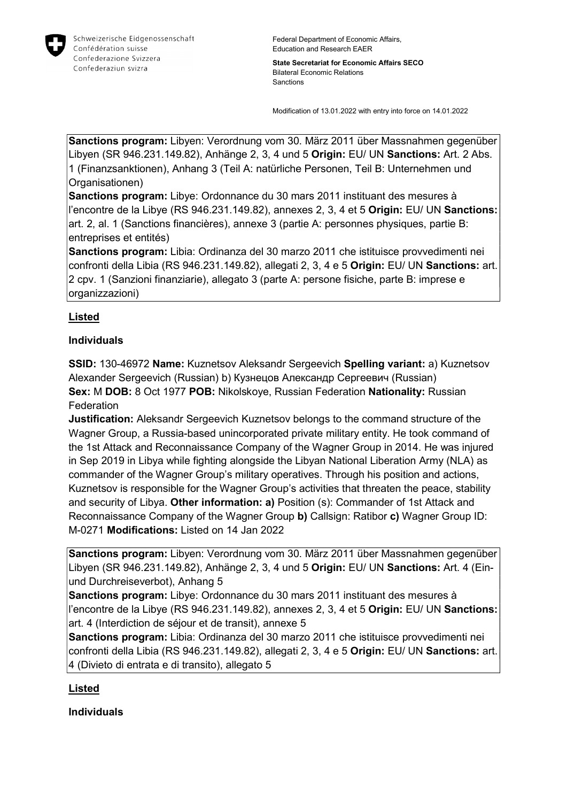

State Secretariat for Economic Affairs SECO Bilateral Economic Relations **Sanctions** 

Modification of 13.01.2022 with entry into force on 14.01.2022

Sanctions program: Libyen: Verordnung vom 30. März 2011 über Massnahmen gegenüber Libyen (SR 946.231.149.82), Anhänge 2, 3, 4 und 5 Origin: EU/ UN Sanctions: Art. 2 Abs. 1 (Finanzsanktionen), Anhang 3 (Teil A: natürliche Personen, Teil B: Unternehmen und Organisationen)

Sanctions program: Libye: Ordonnance du 30 mars 2011 instituant des mesures à l'encontre de la Libye (RS 946.231.149.82), annexes 2, 3, 4 et 5 Origin: EU/ UN Sanctions: art. 2, al. 1 (Sanctions financières), annexe 3 (partie A: personnes physiques, partie B: entreprises et entités)

Sanctions program: Libia: Ordinanza del 30 marzo 2011 che istituisce provvedimenti nei confronti della Libia (RS 946.231.149.82), allegati 2, 3, 4 e 5 Origin: EU/ UN Sanctions: art. 2 cpv. 1 (Sanzioni finanziarie), allegato 3 (parte A: persone fisiche, parte B: imprese e organizzazioni)

## Listed

## Individuals

SSID: 130-46972 Name: Kuznetsov Aleksandr Sergeevich Spelling variant: a) Kuznetsov Alexander Sergeevich (Russian) b) Кузнецов Александр Сергеевич (Russian) Sex: M DOB: 8 Oct 1977 POB: Nikolskoye, Russian Federation Nationality: Russian **Federation** 

**Justification:** Aleksandr Sergeevich Kuznetsov belongs to the command structure of the Wagner Group, a Russia-based unincorporated private military entity. He took command of the 1st Attack and Reconnaissance Company of the Wagner Group in 2014. He was injured in Sep 2019 in Libya while fighting alongside the Libyan National Liberation Army (NLA) as commander of the Wagner Group's military operatives. Through his position and actions, Kuznetsov is responsible for the Wagner Group's activities that threaten the peace, stability and security of Libya. Other information: a) Position (s): Commander of 1st Attack and Reconnaissance Company of the Wagner Group b) Callsign: Ratibor c) Wagner Group ID: M-0271 Modifications: Listed on 14 Jan 2022

Sanctions program: Libyen: Verordnung vom 30. März 2011 über Massnahmen gegenüber Libyen (SR 946.231.149.82), Anhänge 2, 3, 4 und 5 Origin: EU/ UN Sanctions: Art. 4 (Einund Durchreiseverbot), Anhang 5

Sanctions program: Libye: Ordonnance du 30 mars 2011 instituant des mesures à l'encontre de la Libye (RS 946.231.149.82), annexes 2, 3, 4 et 5 Origin: EU/ UN Sanctions: art. 4 (Interdiction de séjour et de transit), annexe 5

Sanctions program: Libia: Ordinanza del 30 marzo 2011 che istituisce provvedimenti nei confronti della Libia (RS 946.231.149.82), allegati 2, 3, 4 e 5 Origin: EU/ UN Sanctions: art. 4 (Divieto di entrata e di transito), allegato 5

## Listed

Individuals